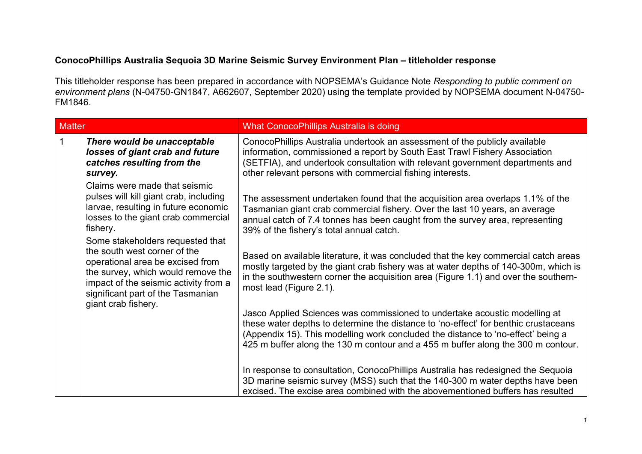## ConocoPhillips Australia Sequoia 3D Marine Seismic Survey Environment Plan – titleholder response

This titleholder response has been prepared in accordance with NOPSEMA's Guidance Note Responding to public comment on environment plans (N-04750-GN1847, A662607, September 2020) using the template provided by NOPSEMA document N-04750-FM1846.

| <b>Matter</b> |                                                                                                                                                                                                                          | What ConocoPhillips Australia is doing                                                                                                                                                                                                                                                                                                    |
|---------------|--------------------------------------------------------------------------------------------------------------------------------------------------------------------------------------------------------------------------|-------------------------------------------------------------------------------------------------------------------------------------------------------------------------------------------------------------------------------------------------------------------------------------------------------------------------------------------|
|               | There would be unacceptable<br>losses of giant crab and future<br>catches resulting from the<br>survey.                                                                                                                  | ConocoPhillips Australia undertook an assessment of the publicly available<br>information, commissioned a report by South East Trawl Fishery Association<br>(SETFIA), and undertook consultation with relevant government departments and<br>other relevant persons with commercial fishing interests.                                    |
|               | Claims were made that seismic<br>pulses will kill giant crab, including<br>larvae, resulting in future economic<br>losses to the giant crab commercial<br>fishery.                                                       | The assessment undertaken found that the acquisition area overlaps 1.1% of the<br>Tasmanian giant crab commercial fishery. Over the last 10 years, an average<br>annual catch of 7.4 tonnes has been caught from the survey area, representing<br>39% of the fishery's total annual catch.                                                |
|               | Some stakeholders requested that<br>the south west corner of the<br>operational area be excised from<br>the survey, which would remove the<br>impact of the seismic activity from a<br>significant part of the Tasmanian | Based on available literature, it was concluded that the key commercial catch areas<br>mostly targeted by the giant crab fishery was at water depths of 140-300m, which is<br>in the southwestern corner the acquisition area (Figure 1.1) and over the southern-<br>most lead (Figure 2.1).                                              |
|               | giant crab fishery.                                                                                                                                                                                                      | Jasco Applied Sciences was commissioned to undertake acoustic modelling at<br>these water depths to determine the distance to 'no-effect' for benthic crustaceans<br>(Appendix 15). This modelling work concluded the distance to 'no-effect' being a<br>425 m buffer along the 130 m contour and a 455 m buffer along the 300 m contour. |
|               |                                                                                                                                                                                                                          | In response to consultation, ConocoPhillips Australia has redesigned the Sequoia<br>3D marine seismic survey (MSS) such that the 140-300 m water depths have been<br>excised. The excise area combined with the abovementioned buffers has resulted                                                                                       |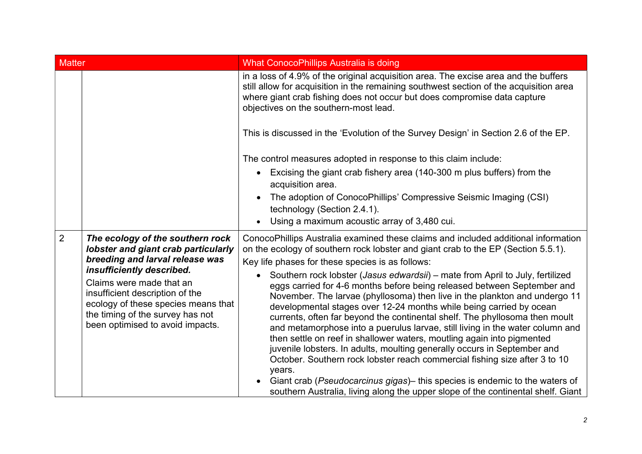| <b>Matter</b>  |                                                                                                                                                                                                                                                                                                                       | <b>What ConocoPhillips Australia is doing</b>                                                                                                                                                                                                                                                                                                                                                                                                                                                                                                                                                                                                                                                                                                                                                                                                                                                                                                                                                                                                                                                                                               |
|----------------|-----------------------------------------------------------------------------------------------------------------------------------------------------------------------------------------------------------------------------------------------------------------------------------------------------------------------|---------------------------------------------------------------------------------------------------------------------------------------------------------------------------------------------------------------------------------------------------------------------------------------------------------------------------------------------------------------------------------------------------------------------------------------------------------------------------------------------------------------------------------------------------------------------------------------------------------------------------------------------------------------------------------------------------------------------------------------------------------------------------------------------------------------------------------------------------------------------------------------------------------------------------------------------------------------------------------------------------------------------------------------------------------------------------------------------------------------------------------------------|
|                |                                                                                                                                                                                                                                                                                                                       | in a loss of 4.9% of the original acquisition area. The excise area and the buffers<br>still allow for acquisition in the remaining southwest section of the acquisition area<br>where giant crab fishing does not occur but does compromise data capture<br>objectives on the southern-most lead.                                                                                                                                                                                                                                                                                                                                                                                                                                                                                                                                                                                                                                                                                                                                                                                                                                          |
|                |                                                                                                                                                                                                                                                                                                                       | This is discussed in the 'Evolution of the Survey Design' in Section 2.6 of the EP.                                                                                                                                                                                                                                                                                                                                                                                                                                                                                                                                                                                                                                                                                                                                                                                                                                                                                                                                                                                                                                                         |
|                |                                                                                                                                                                                                                                                                                                                       | The control measures adopted in response to this claim include:<br>Excising the giant crab fishery area (140-300 m plus buffers) from the<br>$\bullet$<br>acquisition area.<br>The adoption of ConocoPhillips' Compressive Seismic Imaging (CSI)<br>technology (Section 2.4.1).<br>Using a maximum acoustic array of 3,480 cui.<br>$\bullet$                                                                                                                                                                                                                                                                                                                                                                                                                                                                                                                                                                                                                                                                                                                                                                                                |
| $\overline{2}$ | The ecology of the southern rock<br>lobster and giant crab particularly<br>breeding and larval release was<br>insufficiently described.<br>Claims were made that an<br>insufficient description of the<br>ecology of these species means that<br>the timing of the survey has not<br>been optimised to avoid impacts. | ConocoPhillips Australia examined these claims and included additional information<br>on the ecology of southern rock lobster and giant crab to the EP (Section 5.5.1).<br>Key life phases for these species is as follows:<br>Southern rock lobster (Jasus edwardsii) – mate from April to July, fertilized<br>$\bullet$<br>eggs carried for 4-6 months before being released between September and<br>November. The larvae (phyllosoma) then live in the plankton and undergo 11<br>developmental stages over 12-24 months while being carried by ocean<br>currents, often far beyond the continental shelf. The phyllosoma then moult<br>and metamorphose into a puerulus larvae, still living in the water column and<br>then settle on reef in shallower waters, moutling again into pigmented<br>juvenile lobsters. In adults, moulting generally occurs in September and<br>October. Southern rock lobster reach commercial fishing size after 3 to 10<br>years.<br>Giant crab (Pseudocarcinus gigas) - this species is endemic to the waters of<br>southern Australia, living along the upper slope of the continental shelf. Giant |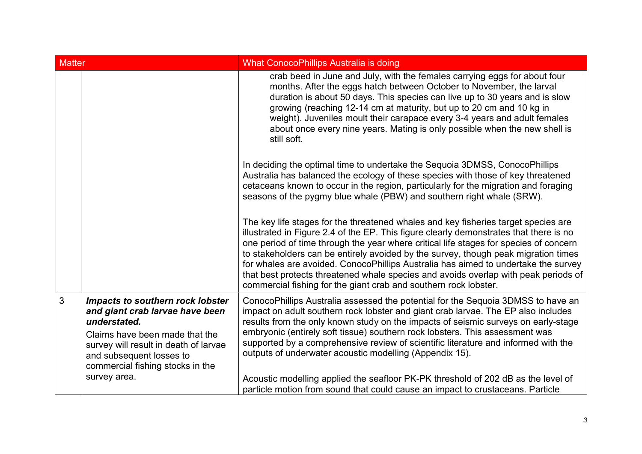| <b>Matter</b>  |                                                                                                                                                                                                                                | <b>What ConocoPhillips Australia is doing</b>                                                                                                                                                                                                                                                                                                                                                                                                                                                                                                                                                                |
|----------------|--------------------------------------------------------------------------------------------------------------------------------------------------------------------------------------------------------------------------------|--------------------------------------------------------------------------------------------------------------------------------------------------------------------------------------------------------------------------------------------------------------------------------------------------------------------------------------------------------------------------------------------------------------------------------------------------------------------------------------------------------------------------------------------------------------------------------------------------------------|
|                |                                                                                                                                                                                                                                | crab beed in June and July, with the females carrying eggs for about four<br>months. After the eggs hatch between October to November, the larval<br>duration is about 50 days. This species can live up to 30 years and is slow<br>growing (reaching 12-14 cm at maturity, but up to 20 cm and 10 kg in<br>weight). Juveniles moult their carapace every 3-4 years and adult females<br>about once every nine years. Mating is only possible when the new shell is<br>still soft.                                                                                                                           |
|                |                                                                                                                                                                                                                                | In deciding the optimal time to undertake the Sequoia 3DMSS, ConocoPhillips<br>Australia has balanced the ecology of these species with those of key threatened<br>cetaceans known to occur in the region, particularly for the migration and foraging<br>seasons of the pygmy blue whale (PBW) and southern right whale (SRW).                                                                                                                                                                                                                                                                              |
|                |                                                                                                                                                                                                                                | The key life stages for the threatened whales and key fisheries target species are<br>illustrated in Figure 2.4 of the EP. This figure clearly demonstrates that there is no<br>one period of time through the year where critical life stages for species of concern<br>to stakeholders can be entirely avoided by the survey, though peak migration times<br>for whales are avoided. ConocoPhillips Australia has aimed to undertake the survey<br>that best protects threatened whale species and avoids overlap with peak periods of<br>commercial fishing for the giant crab and southern rock lobster. |
| $\overline{3}$ | Impacts to southern rock lobster<br>and giant crab larvae have been<br>understated.<br>Claims have been made that the<br>survey will result in death of larvae<br>and subsequent losses to<br>commercial fishing stocks in the | ConocoPhillips Australia assessed the potential for the Sequoia 3DMSS to have an<br>impact on adult southern rock lobster and giant crab larvae. The EP also includes<br>results from the only known study on the impacts of seismic surveys on early-stage<br>embryonic (entirely soft tissue) southern rock lobsters. This assessment was<br>supported by a comprehensive review of scientific literature and informed with the<br>outputs of underwater acoustic modelling (Appendix 15).                                                                                                                 |
|                | survey area.                                                                                                                                                                                                                   | Acoustic modelling applied the seafloor PK-PK threshold of 202 dB as the level of<br>particle motion from sound that could cause an impact to crustaceans. Particle                                                                                                                                                                                                                                                                                                                                                                                                                                          |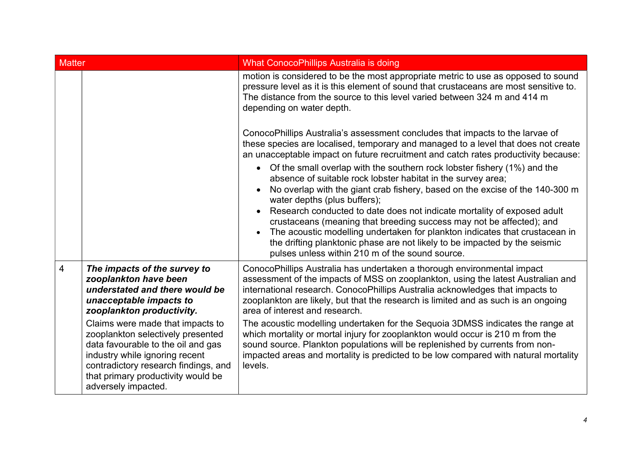| <b>Matter</b>  |                                                                                                                                                                                                                                                                                                                                                                                                       | <b>What ConocoPhillips Australia is doing</b>                                                                                                                                                                                                                                                                                                                                                                                                                                                                                                                                                                                                                                                                                                                                                                                                                                                           |
|----------------|-------------------------------------------------------------------------------------------------------------------------------------------------------------------------------------------------------------------------------------------------------------------------------------------------------------------------------------------------------------------------------------------------------|---------------------------------------------------------------------------------------------------------------------------------------------------------------------------------------------------------------------------------------------------------------------------------------------------------------------------------------------------------------------------------------------------------------------------------------------------------------------------------------------------------------------------------------------------------------------------------------------------------------------------------------------------------------------------------------------------------------------------------------------------------------------------------------------------------------------------------------------------------------------------------------------------------|
|                |                                                                                                                                                                                                                                                                                                                                                                                                       | motion is considered to be the most appropriate metric to use as opposed to sound<br>pressure level as it is this element of sound that crustaceans are most sensitive to.<br>The distance from the source to this level varied between 324 m and 414 m<br>depending on water depth.                                                                                                                                                                                                                                                                                                                                                                                                                                                                                                                                                                                                                    |
|                |                                                                                                                                                                                                                                                                                                                                                                                                       | ConocoPhillips Australia's assessment concludes that impacts to the larvae of<br>these species are localised, temporary and managed to a level that does not create<br>an unacceptable impact on future recruitment and catch rates productivity because:<br>• Of the small overlap with the southern rock lobster fishery (1%) and the<br>absence of suitable rock lobster habitat in the survey area;<br>No overlap with the giant crab fishery, based on the excise of the 140-300 m<br>water depths (plus buffers);<br>Research conducted to date does not indicate mortality of exposed adult<br>crustaceans (meaning that breeding success may not be affected); and<br>The acoustic modelling undertaken for plankton indicates that crustacean in<br>$\bullet$<br>the drifting planktonic phase are not likely to be impacted by the seismic<br>pulses unless within 210 m of the sound source. |
| $\overline{4}$ | The impacts of the survey to<br>zooplankton have been<br>understated and there would be<br>unacceptable impacts to<br>zooplankton productivity.<br>Claims were made that impacts to<br>zooplankton selectively presented<br>data favourable to the oil and gas<br>industry while ignoring recent<br>contradictory research findings, and<br>that primary productivity would be<br>adversely impacted. | ConocoPhillips Australia has undertaken a thorough environmental impact<br>assessment of the impacts of MSS on zooplankton, using the latest Australian and<br>international research. ConocoPhillips Australia acknowledges that impacts to<br>zooplankton are likely, but that the research is limited and as such is an ongoing<br>area of interest and research.<br>The acoustic modelling undertaken for the Sequoia 3DMSS indicates the range at<br>which mortality or mortal injury for zooplankton would occur is 210 m from the<br>sound source. Plankton populations will be replenished by currents from non-<br>impacted areas and mortality is predicted to be low compared with natural mortality<br>levels.                                                                                                                                                                              |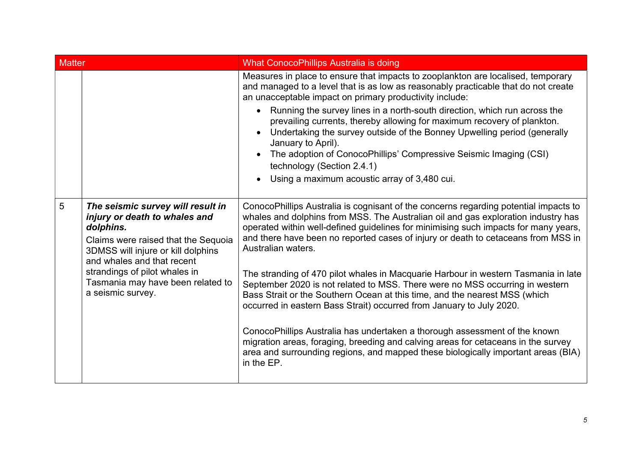| <b>Matter</b>   |                                                                                                                                                                                                                                                                                       | <b>What ConocoPhillips Australia is doing</b>                                                                                                                                                                                                                                                                                                                               |
|-----------------|---------------------------------------------------------------------------------------------------------------------------------------------------------------------------------------------------------------------------------------------------------------------------------------|-----------------------------------------------------------------------------------------------------------------------------------------------------------------------------------------------------------------------------------------------------------------------------------------------------------------------------------------------------------------------------|
|                 |                                                                                                                                                                                                                                                                                       | Measures in place to ensure that impacts to zooplankton are localised, temporary<br>and managed to a level that is as low as reasonably practicable that do not create<br>an unacceptable impact on primary productivity include:                                                                                                                                           |
|                 |                                                                                                                                                                                                                                                                                       | Running the survey lines in a north-south direction, which run across the<br>$\bullet$<br>prevailing currents, thereby allowing for maximum recovery of plankton.<br>Undertaking the survey outside of the Bonney Upwelling period (generally<br>January to April).<br>The adoption of ConocoPhillips' Compressive Seismic Imaging (CSI)<br>technology (Section 2.4.1)      |
|                 |                                                                                                                                                                                                                                                                                       | Using a maximum acoustic array of 3,480 cui.                                                                                                                                                                                                                                                                                                                                |
| $5\overline{5}$ | The seismic survey will result in<br>injury or death to whales and<br>dolphins.<br>Claims were raised that the Sequoia<br>3DMSS will injure or kill dolphins<br>and whales and that recent<br>strandings of pilot whales in<br>Tasmania may have been related to<br>a seismic survey. | ConocoPhillips Australia is cognisant of the concerns regarding potential impacts to<br>whales and dolphins from MSS. The Australian oil and gas exploration industry has<br>operated within well-defined guidelines for minimising such impacts for many years,<br>and there have been no reported cases of injury or death to cetaceans from MSS in<br>Australian waters. |
|                 |                                                                                                                                                                                                                                                                                       | The stranding of 470 pilot whales in Macquarie Harbour in western Tasmania in late<br>September 2020 is not related to MSS. There were no MSS occurring in western<br>Bass Strait or the Southern Ocean at this time, and the nearest MSS (which<br>occurred in eastern Bass Strait) occurred from January to July 2020.                                                    |
|                 |                                                                                                                                                                                                                                                                                       | ConocoPhillips Australia has undertaken a thorough assessment of the known<br>migration areas, foraging, breeding and calving areas for cetaceans in the survey<br>area and surrounding regions, and mapped these biologically important areas (BIA)<br>in the EP.                                                                                                          |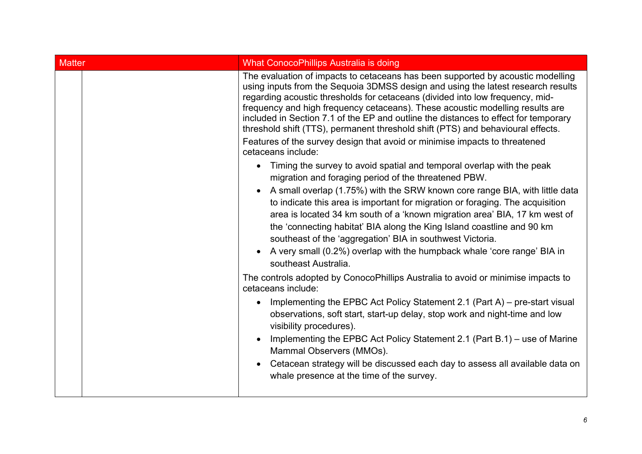| <b>Matter</b> | <b>What ConocoPhillips Australia is doing</b>                                                                                                                                                                                                                                                                                                                                                                                                                                                                                                                                                                                                                                                                                                                                                                                                                                                                                                                                                                                                                                                                                                                                                                                                                          |
|---------------|------------------------------------------------------------------------------------------------------------------------------------------------------------------------------------------------------------------------------------------------------------------------------------------------------------------------------------------------------------------------------------------------------------------------------------------------------------------------------------------------------------------------------------------------------------------------------------------------------------------------------------------------------------------------------------------------------------------------------------------------------------------------------------------------------------------------------------------------------------------------------------------------------------------------------------------------------------------------------------------------------------------------------------------------------------------------------------------------------------------------------------------------------------------------------------------------------------------------------------------------------------------------|
|               | The evaluation of impacts to cetaceans has been supported by acoustic modelling<br>using inputs from the Sequoia 3DMSS design and using the latest research results<br>regarding acoustic thresholds for cetaceans (divided into low frequency, mid-<br>frequency and high frequency cetaceans). These acoustic modelling results are<br>included in Section 7.1 of the EP and outline the distances to effect for temporary<br>threshold shift (TTS), permanent threshold shift (PTS) and behavioural effects.<br>Features of the survey design that avoid or minimise impacts to threatened<br>cetaceans include:<br>Timing the survey to avoid spatial and temporal overlap with the peak<br>$\bullet$<br>migration and foraging period of the threatened PBW.<br>A small overlap (1.75%) with the SRW known core range BIA, with little data<br>to indicate this area is important for migration or foraging. The acquisition<br>area is located 34 km south of a 'known migration area' BIA, 17 km west of<br>the 'connecting habitat' BIA along the King Island coastline and 90 km<br>southeast of the 'aggregation' BIA in southwest Victoria.<br>A very small (0.2%) overlap with the humpback whale 'core range' BIA in<br>$\bullet$<br>southeast Australia. |
|               | The controls adopted by ConocoPhillips Australia to avoid or minimise impacts to<br>cetaceans include:<br>Implementing the EPBC Act Policy Statement 2.1 (Part A) – pre-start visual<br>$\bullet$<br>observations, soft start, start-up delay, stop work and night-time and low<br>visibility procedures).<br>Implementing the EPBC Act Policy Statement 2.1 (Part B.1) – use of Marine<br>Mammal Observers (MMOs).<br>Cetacean strategy will be discussed each day to assess all available data on<br>whale presence at the time of the survey.                                                                                                                                                                                                                                                                                                                                                                                                                                                                                                                                                                                                                                                                                                                       |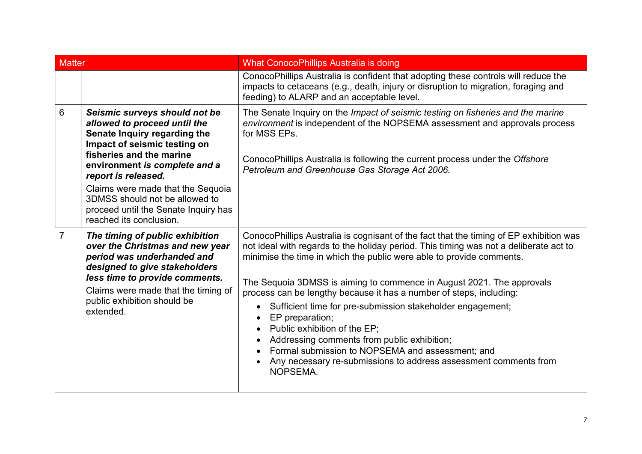| <b>Matter</b>  |                                                                                                                                                                                                                                                                                                                                                             | <b>What ConocoPhillips Australia is doing</b>                                                                                                                                                                                                                                                                                                                                                                                                                                                                                                                                                                                                                                                               |
|----------------|-------------------------------------------------------------------------------------------------------------------------------------------------------------------------------------------------------------------------------------------------------------------------------------------------------------------------------------------------------------|-------------------------------------------------------------------------------------------------------------------------------------------------------------------------------------------------------------------------------------------------------------------------------------------------------------------------------------------------------------------------------------------------------------------------------------------------------------------------------------------------------------------------------------------------------------------------------------------------------------------------------------------------------------------------------------------------------------|
|                |                                                                                                                                                                                                                                                                                                                                                             | ConocoPhillips Australia is confident that adopting these controls will reduce the<br>impacts to cetaceans (e.g., death, injury or disruption to migration, foraging and<br>feeding) to ALARP and an acceptable level.                                                                                                                                                                                                                                                                                                                                                                                                                                                                                      |
| 6              | Seismic surveys should not be<br>allowed to proceed until the<br>Senate Inquiry regarding the<br>Impact of seismic testing on<br>fisheries and the marine<br>environment is complete and a<br>report is released.<br>Claims were made that the Sequoia<br>3DMSS should not be allowed to<br>proceed until the Senate Inquiry has<br>reached its conclusion. | The Senate Inquiry on the Impact of seismic testing on fisheries and the marine<br>environment is independent of the NOPSEMA assessment and approvals process<br>for MSS EPs.<br>ConocoPhillips Australia is following the current process under the Offshore<br>Petroleum and Greenhouse Gas Storage Act 2006.                                                                                                                                                                                                                                                                                                                                                                                             |
| $\overline{7}$ | The timing of public exhibition<br>over the Christmas and new year<br>period was underhanded and<br>designed to give stakeholders<br>less time to provide comments.<br>Claims were made that the timing of<br>public exhibition should be<br>extended.                                                                                                      | ConocoPhillips Australia is cognisant of the fact that the timing of EP exhibition was<br>not ideal with regards to the holiday period. This timing was not a deliberate act to<br>minimise the time in which the public were able to provide comments.<br>The Sequoia 3DMSS is aiming to commence in August 2021. The approvals<br>process can be lengthy because it has a number of steps, including:<br>Sufficient time for pre-submission stakeholder engagement;<br>EP preparation;<br>Public exhibition of the EP;<br>Addressing comments from public exhibition;<br>Formal submission to NOPSEMA and assessment; and<br>Any necessary re-submissions to address assessment comments from<br>NOPSEMA. |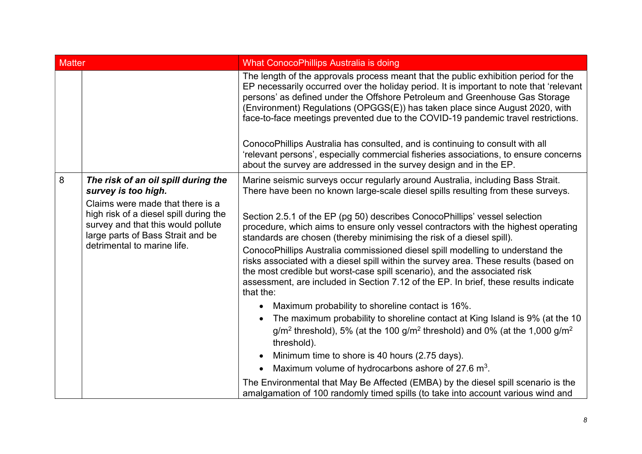| <b>Matter</b> |                                                                                                                                                  | <b>What ConocoPhillips Australia is doing</b>                                                                                                                                                                                                                                                                                                                                                                                                                                                                       |
|---------------|--------------------------------------------------------------------------------------------------------------------------------------------------|---------------------------------------------------------------------------------------------------------------------------------------------------------------------------------------------------------------------------------------------------------------------------------------------------------------------------------------------------------------------------------------------------------------------------------------------------------------------------------------------------------------------|
|               |                                                                                                                                                  | The length of the approvals process meant that the public exhibition period for the<br>EP necessarily occurred over the holiday period. It is important to note that 'relevant<br>persons' as defined under the Offshore Petroleum and Greenhouse Gas Storage<br>(Environment) Regulations (OPGGS(E)) has taken place since August 2020, with<br>face-to-face meetings prevented due to the COVID-19 pandemic travel restrictions.<br>ConocoPhillips Australia has consulted, and is continuing to consult with all |
|               |                                                                                                                                                  | 'relevant persons', especially commercial fisheries associations, to ensure concerns<br>about the survey are addressed in the survey design and in the EP.                                                                                                                                                                                                                                                                                                                                                          |
| 8             | The risk of an oil spill during the<br>survey is too high.<br>Claims were made that there is a                                                   | Marine seismic surveys occur regularly around Australia, including Bass Strait.<br>There have been no known large-scale diesel spills resulting from these surveys.                                                                                                                                                                                                                                                                                                                                                 |
|               | high risk of a diesel spill during the<br>survey and that this would pollute<br>large parts of Bass Strait and be<br>detrimental to marine life. | Section 2.5.1 of the EP (pg 50) describes ConocoPhillips' vessel selection<br>procedure, which aims to ensure only vessel contractors with the highest operating<br>standards are chosen (thereby minimising the risk of a diesel spill).                                                                                                                                                                                                                                                                           |
|               |                                                                                                                                                  | ConocoPhillips Australia commissioned diesel spill modelling to understand the<br>risks associated with a diesel spill within the survey area. These results (based on<br>the most credible but worst-case spill scenario), and the associated risk<br>assessment, are included in Section 7.12 of the EP. In brief, these results indicate<br>that the:                                                                                                                                                            |
|               |                                                                                                                                                  | • Maximum probability to shoreline contact is 16%.                                                                                                                                                                                                                                                                                                                                                                                                                                                                  |
|               |                                                                                                                                                  | The maximum probability to shoreline contact at King Island is 9% (at the 10<br>$g/m2$ threshold), 5% (at the 100 g/m <sup>2</sup> threshold) and 0% (at the 1,000 g/m <sup>2</sup><br>threshold).                                                                                                                                                                                                                                                                                                                  |
|               |                                                                                                                                                  | • Minimum time to shore is 40 hours (2.75 days).                                                                                                                                                                                                                                                                                                                                                                                                                                                                    |
|               |                                                                                                                                                  | Maximum volume of hydrocarbons ashore of 27.6 m <sup>3</sup> .<br>$\bullet$                                                                                                                                                                                                                                                                                                                                                                                                                                         |
|               |                                                                                                                                                  | The Environmental that May Be Affected (EMBA) by the diesel spill scenario is the<br>amalgamation of 100 randomly timed spills (to take into account various wind and                                                                                                                                                                                                                                                                                                                                               |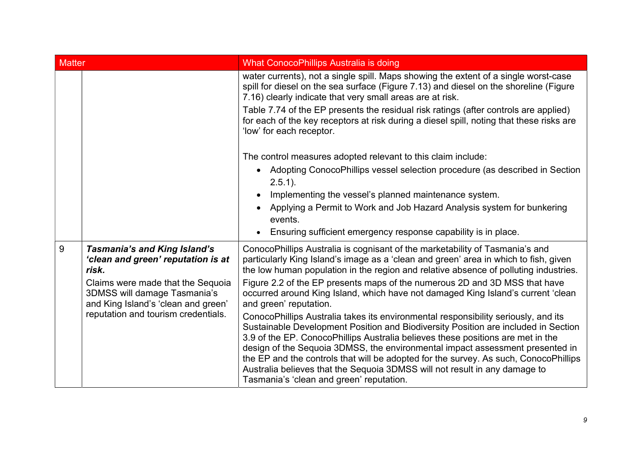| <b>Matter</b>                                                                                                                                                                                       |                                                                                                                                                                                                                                                                                                                                                                                                                                                          | <b>What ConocoPhillips Australia is doing</b>                                                                                                                                                                                                                                                                                                                                                                                                                                                                                                                  |
|-----------------------------------------------------------------------------------------------------------------------------------------------------------------------------------------------------|----------------------------------------------------------------------------------------------------------------------------------------------------------------------------------------------------------------------------------------------------------------------------------------------------------------------------------------------------------------------------------------------------------------------------------------------------------|----------------------------------------------------------------------------------------------------------------------------------------------------------------------------------------------------------------------------------------------------------------------------------------------------------------------------------------------------------------------------------------------------------------------------------------------------------------------------------------------------------------------------------------------------------------|
|                                                                                                                                                                                                     |                                                                                                                                                                                                                                                                                                                                                                                                                                                          | water currents), not a single spill. Maps showing the extent of a single worst-case<br>spill for diesel on the sea surface (Figure 7.13) and diesel on the shoreline (Figure<br>7.16) clearly indicate that very small areas are at risk.<br>Table 7.74 of the EP presents the residual risk ratings (after controls are applied)<br>for each of the key receptors at risk during a diesel spill, noting that these risks are<br>'low' for each receptor.                                                                                                      |
|                                                                                                                                                                                                     |                                                                                                                                                                                                                                                                                                                                                                                                                                                          | The control measures adopted relevant to this claim include:                                                                                                                                                                                                                                                                                                                                                                                                                                                                                                   |
|                                                                                                                                                                                                     |                                                                                                                                                                                                                                                                                                                                                                                                                                                          | Adopting ConocoPhillips vessel selection procedure (as described in Section<br>$\bullet$<br>$2.5.1$ ).                                                                                                                                                                                                                                                                                                                                                                                                                                                         |
|                                                                                                                                                                                                     |                                                                                                                                                                                                                                                                                                                                                                                                                                                          | Implementing the vessel's planned maintenance system.<br>$\bullet$                                                                                                                                                                                                                                                                                                                                                                                                                                                                                             |
|                                                                                                                                                                                                     |                                                                                                                                                                                                                                                                                                                                                                                                                                                          | Applying a Permit to Work and Job Hazard Analysis system for bunkering<br>$\bullet$<br>events.                                                                                                                                                                                                                                                                                                                                                                                                                                                                 |
|                                                                                                                                                                                                     |                                                                                                                                                                                                                                                                                                                                                                                                                                                          | Ensuring sufficient emergency response capability is in place.                                                                                                                                                                                                                                                                                                                                                                                                                                                                                                 |
| 9<br><b>Tasmania's and King Island's</b><br>'clean and green' reputation is at<br>risk.<br>Claims were made that the Sequoia<br>3DMSS will damage Tasmania's<br>and King Island's 'clean and green' | ConocoPhillips Australia is cognisant of the marketability of Tasmania's and<br>particularly King Island's image as a 'clean and green' area in which to fish, given<br>the low human population in the region and relative absence of polluting industries.<br>Figure 2.2 of the EP presents maps of the numerous 2D and 3D MSS that have<br>occurred around King Island, which have not damaged King Island's current 'clean<br>and green' reputation. |                                                                                                                                                                                                                                                                                                                                                                                                                                                                                                                                                                |
|                                                                                                                                                                                                     | reputation and tourism credentials.                                                                                                                                                                                                                                                                                                                                                                                                                      | ConocoPhillips Australia takes its environmental responsibility seriously, and its<br>Sustainable Development Position and Biodiversity Position are included in Section<br>3.9 of the EP. ConocoPhillips Australia believes these positions are met in the<br>design of the Sequoia 3DMSS, the environmental impact assessment presented in<br>the EP and the controls that will be adopted for the survey. As such, ConocoPhillips<br>Australia believes that the Sequoia 3DMSS will not result in any damage to<br>Tasmania's 'clean and green' reputation. |